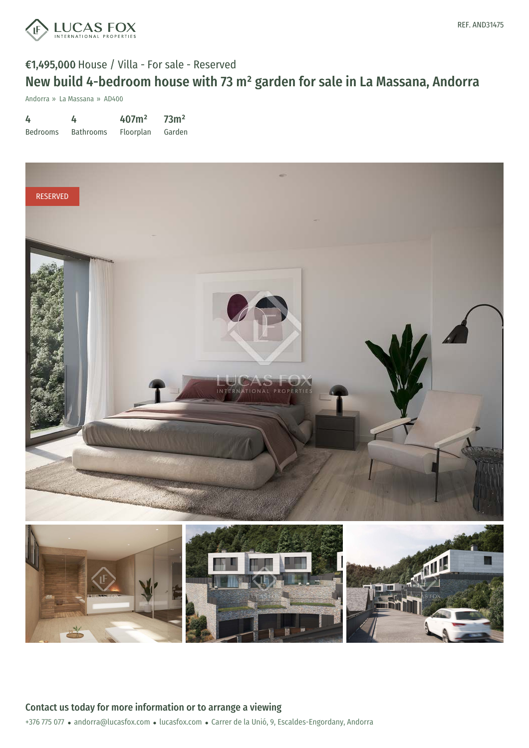

# €1,495,000 House / Villa - For sale - Reserved New build 4-bedroom house with 73 m² garden for sale in La Massana, Andorra

Andorra » La Massana » AD400

| 4               | 4                | 407m <sup>2</sup> | 73 <sup>m²</sup> |
|-----------------|------------------|-------------------|------------------|
| <b>Bedrooms</b> | <b>Bathrooms</b> | <b>Floorplan</b>  | Garden           |

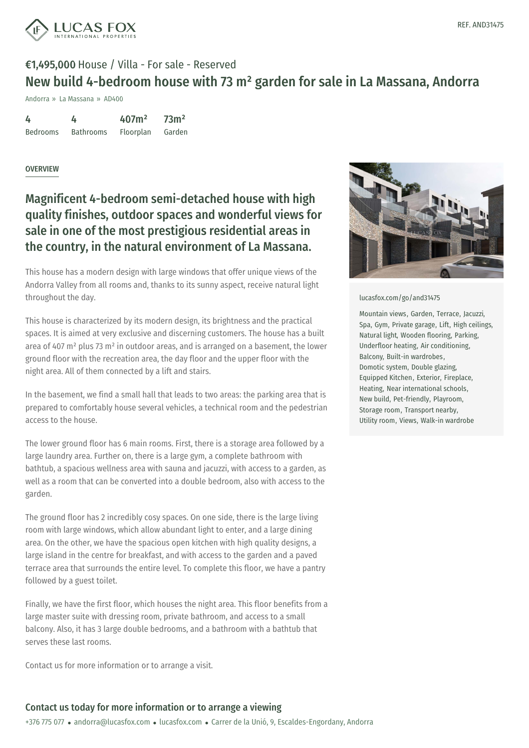

## €1,495,000 House / Villa - For sale - Reserved New build 4-bedroom house with 73 m² garden for sale in La Massana, Andorra

Andorra » La Massana » AD400

| 4               | 4                | 407m <sup>2</sup> | 73 <sup>m²</sup> |
|-----------------|------------------|-------------------|------------------|
| <b>Bedrooms</b> | <b>Bathrooms</b> | Floorplan         | Garden           |

#### **OVERVIEW**

### Magnificent 4-bedroom semi-detached house with high quality finishes, outdoor spaces and wonderful views for sale in one of the most prestigious residential areas in the country, in the natural environment of La Massana.

This house has a modern design with large windows that offer unique views of the Andorra Valley from all rooms and, thanks to its sunny aspect, receive natural light throughout the day.

This house is characterized by its modern design, its brightness and the practical spaces. It is aimed at very exclusive and discerning customers. The house has a built area of 407 m² plus 73 m² in outdoor areas, and is arranged on a basement, the lower ground floor with the recreation area, the day floor and the upper floor with the night area. All of them connected by a lift and stairs.

In the basement, we find a small hall that leads to two areas: the parking area that is prepared to comfortably house several vehicles, a technical room and the pedestrian access to the house.

The lower ground floor has 6 main rooms. First, there is a storage area followed by a large laundry area. Further on, there is a large gym, a complete bathroom with bathtub, a spacious wellness area with sauna and jacuzzi, with access to a garden, as well as a room that can be converted into a double bedroom, also with access to the garden.

The ground floor has 2 incredibly cosy spaces. On one side, there is the large living room with large windows, which allow abundant light to enter, and a large dining area. On the other, we have the spacious open kitchen with high quality designs, a large island in the [centre](mailto:andorra@lucasfox.com) for breakfast, and [with](https://www.lucasfox.com) access to the garden and a paved terrace area that surrounds the entire level. To complete this floor, we have a pantry followed by a guest toilet.

Finally, we have the first floor, which houses the night area. This floor benefits from a large master suite with dressing room, private bathroom, and access to a small balcony. Also, it has 3 large double bedrooms, and a bathroom with a bathtub that serves these last rooms.

Contact us for more information or to arrange a visit.



[lucasfox.com/go/and31475](https://www.lucasfox.com/go/and31475)

Mountain views, Garden, Terrace, Jacuzzi, Spa, Gym, Private garage, Lift, High ceilings, Natural light, Wooden flooring, Parking, Underfloor heating, Air conditioning, Balcony, Built-in wardrobes, Domotic system, Double glazing, Equipped Kitchen, Exterior, Fireplace, Heating, Near international schools, New build, Pet-friendly, Playroom, Storage room, Transport nearby, Utility room, Views, Walk-in wardrobe

#### Contact us today for more information or to arrange a viewing

+376 775 077 · andorra@lucasfox.com · lucasfox.com · Carrer de la Unió, 9, Escaldes-Engordany, Andorra